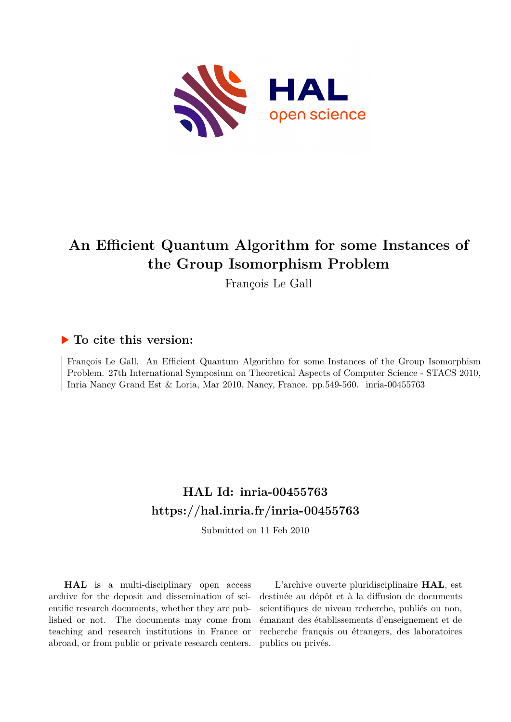

# **An Efficient Quantum Algorithm for some Instances of the Group Isomorphism Problem**

François Le Gall

## **To cite this version:**

François Le Gall. An Efficient Quantum Algorithm for some Instances of the Group Isomorphism Problem. 27th International Symposium on Theoretical Aspects of Computer Science - STACS 2010, Inria Nancy Grand Est & Loria, Mar 2010, Nancy, France. pp. 549-560. inria-00455763

## **HAL Id: inria-00455763 <https://hal.inria.fr/inria-00455763>**

Submitted on 11 Feb 2010

**HAL** is a multi-disciplinary open access archive for the deposit and dissemination of scientific research documents, whether they are published or not. The documents may come from teaching and research institutions in France or abroad, or from public or private research centers.

L'archive ouverte pluridisciplinaire **HAL**, est destinée au dépôt et à la diffusion de documents scientifiques de niveau recherche, publiés ou non, émanant des établissements d'enseignement et de recherche français ou étrangers, des laboratoires publics ou privés.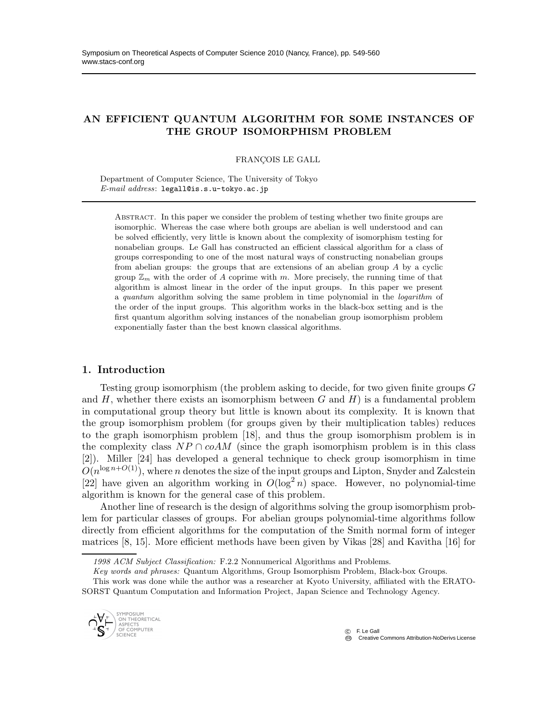## AN EFFICIENT QUANTUM ALGORITHM FOR SOME INSTANCES OF THE GROUP ISOMORPHISM PROBLEM

FRANÇOIS LE GALL

Department of Computer Science, The University of Tokyo E-mail address: legall@is.s.u-tokyo.ac.jp

Abstract. In this paper we consider the problem of testing whether two finite groups are isomorphic. Whereas the case where both groups are abelian is well understood and can be solved efficiently, very little is known about the complexity of isomorphism testing for nonabelian groups. Le Gall has constructed an efficient classical algorithm for a class of groups corresponding to one of the most natural ways of constructing nonabelian groups from abelian groups: the groups that are extensions of an abelian group A by a cyclic group  $\mathbb{Z}_m$  with the order of A coprime with m. More precisely, the running time of that algorithm is almost linear in the order of the input groups. In this paper we present a quantum algorithm solving the same problem in time polynomial in the logarithm of the order of the input groups. This algorithm works in the black-box setting and is the first quantum algorithm solving instances of the nonabelian group isomorphism problem exponentially faster than the best known classical algorithms.

#### 1. Introduction

Testing group isomorphism (the problem asking to decide, for two given finite groups G and  $H$ , whether there exists an isomorphism between  $G$  and  $H$ ) is a fundamental problem in computational group theory but little is known about its complexity. It is known that the group isomorphism problem (for groups given by their multiplication tables) reduces to the graph isomorphism problem [18], and thus the group isomorphism problem is in the complexity class  $NP \cap coAM$  (since the graph isomorphism problem is in this class [2]). Miller [24] has developed a general technique to check group isomorphism in time  $O(n^{\log n+O(1)})$ , where n denotes the size of the input groups and Lipton, Snyder and Zalcstein [22] have given an algorithm working in  $O(\log^2 n)$  space. However, no polynomial-time algorithm is known for the general case of this problem.

Another line of research is the design of algorithms solving the group isomorphism problem for particular classes of groups. For abelian groups polynomial-time algorithms follow directly from efficient algorithms for the computation of the Smith normal form of integer matrices [8, 15]. More efficient methods have been given by Vikas [28] and Kavitha [16] for

This work was done while the author was a researcher at Kyoto University, affiliated with the ERATO-SORST Quantum Computation and Information Project, Japan Science and Technology Agency.



<sup>1998</sup> ACM Subject Classification: F.2.2 Nonnumerical Algorithms and Problems.

Key words and phrases: Quantum Algorithms, Group Isomorphism Problem, Black-box Groups.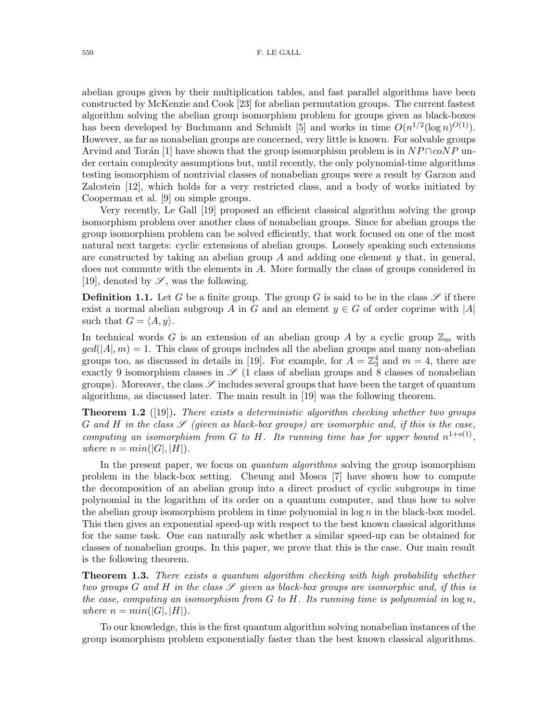abelian groups given by their multiplication tables, and fast parallel algorithms have been constructed by McKenzie and Cook [23] for abelian permutation groups. The current fastest algorithm solving the abelian group isomorphism problem for groups given as black-boxes has been developed by Buchmann and Schmidt [5] and works in time  $O(n^{1/2}(\log n)^{O(1)})$ . However, as far as nonabelian groups are concerned, very little is known. For solvable groups Arvind and Torán [1] have shown that the group isomorphism problem is in  $NP \cap coNP$  under certain complexity assumptions but, until recently, the only polynomial-time algorithms testing isomorphism of nontrivial classes of nonabelian groups were a result by Garzon and Zalcstein [12], which holds for a very restricted class, and a body of works initiated by Cooperman et al. [9] on simple groups.

Very recently, Le Gall [19] proposed an efficient classical algorithm solving the group isomorphism problem over another class of nonabelian groups. Since for abelian groups the group isomorphism problem can be solved efficiently, that work focused on one of the most natural next targets: cyclic extensions of abelian groups. Loosely speaking such extensions are constructed by taking an abelian group A and adding one element  $\gamma$  that, in general, does not commute with the elements in A. More formally the class of groups considered in [19], denoted by  $\mathscr{S}$ , was the following.

**Definition 1.1.** Let G be a finite group. The group G is said to be in the class  $\mathscr{S}$  if there exist a normal abelian subgroup A in G and an element  $y \in G$  of order coprime with  $|A|$ such that  $G = \langle A, y \rangle$ .

In technical words G is an extension of an abelian group A by a cyclic group  $\mathbb{Z}_m$  with  $gcd(|A|, m) = 1$ . This class of groups includes all the abelian groups and many non-abelian groups too, as discussed in details in [19]. For example, for  $A = \mathbb{Z}_3^4$  and  $m = 4$ , there are exactly 9 isomorphism classes in  $\mathscr{S}$  (1 class of abelian groups and 8 classes of nonabelian groups). Moreover, the class  $\mathscr S$  includes several groups that have been the target of quantum algorithms, as discussed later. The main result in [19] was the following theorem.

Theorem 1.2 ([19]). *There exists a deterministic algorithm checking whether two groups* G and H in the class  $\mathscr S$  (given as black-box groups) are isomorphic and, if this is the case, *computing an isomorphism from*  $G$  *to*  $H$ *. Its running time has for upper bound*  $n^{1+o(1)}$ , *where*  $n = min(|G|, |H|)$ *.* 

In the present paper, we focus on *quantum algorithms* solving the group isomorphism problem in the black-box setting. Cheung and Mosca [7] have shown how to compute the decomposition of an abelian group into a direct product of cyclic subgroups in time polynomial in the logarithm of its order on a quantum computer, and thus how to solve the abelian group isomorphism problem in time polynomial in  $\log n$  in the black-box model. This then gives an exponential speed-up with respect to the best known classical algorithms for the same task. One can naturally ask whether a similar speed-up can be obtained for classes of nonabelian groups. In this paper, we prove that this is the case. Our main result is the following theorem.

Theorem 1.3. *There exists a quantum algorithm checking with high probability whether two groups* G and H in the class  $\mathscr S$  given as black-box groups are isomorphic and, if this is *the case, computing an isomorphism from* G *to* H*. Its running time is polynomial in* log n*, where*  $n = min(|G|, |H|)$ *.* 

To our knowledge, this is the first quantum algorithm solving nonabelian instances of the group isomorphism problem exponentially faster than the best known classical algorithms.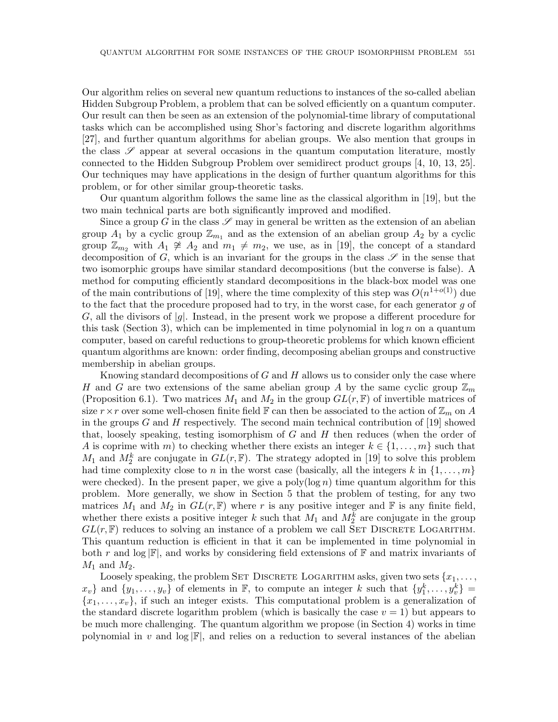Our algorithm relies on several new quantum reductions to instances of the so-called abelian Hidden Subgroup Problem, a problem that can be solved efficiently on a quantum computer. Our result can then be seen as an extension of the polynomial-time library of computational tasks which can be accomplished using Shor's factoring and discrete logarithm algorithms [27], and further quantum algorithms for abelian groups. We also mention that groups in the class  $\mathscr S$  appear at several occasions in the quantum computation literature, mostly connected to the Hidden Subgroup Problem over semidirect product groups [4, 10, 13, 25]. Our techniques may have applications in the design of further quantum algorithms for this problem, or for other similar group-theoretic tasks.

Our quantum algorithm follows the same line as the classical algorithm in [19], but the two main technical parts are both significantly improved and modified.

Since a group G in the class  $\mathscr S$  may in general be written as the extension of an abelian group  $A_1$  by a cyclic group  $\mathbb{Z}_{m_1}$  and as the extension of an abelian group  $A_2$  by a cyclic group  $\mathbb{Z}_{m_2}$  with  $A_1 \not\cong A_2$  and  $m_1 \neq m_2$ , we use, as in [19], the concept of a standard decomposition of G, which is an invariant for the groups in the class  $\mathscr S$  in the sense that two isomorphic groups have similar standard decompositions (but the converse is false). A method for computing efficiently standard decompositions in the black-box model was one of the main contributions of [19], where the time complexity of this step was  $O(n^{1+o(1)})$  due to the fact that the procedure proposed had to try, in the worst case, for each generator g of G, all the divisors of  $|g|$ . Instead, in the present work we propose a different procedure for this task (Section 3), which can be implemented in time polynomial in  $\log n$  on a quantum computer, based on careful reductions to group-theoretic problems for which known efficient quantum algorithms are known: order finding, decomposing abelian groups and constructive membership in abelian groups.

Knowing standard decompositions of  $G$  and  $H$  allows us to consider only the case where H and G are two extensions of the same abelian group A by the same cyclic group  $\mathbb{Z}_m$ (Proposition 6.1). Two matrices  $M_1$  and  $M_2$  in the group  $GL(r, \mathbb{F})$  of invertible matrices of size  $r \times r$  over some well-chosen finite field F can then be associated to the action of  $\mathbb{Z}_m$  on A in the groups G and H respectively. The second main technical contribution of [19] showed that, loosely speaking, testing isomorphism of  $G$  and  $H$  then reduces (when the order of A is coprime with m) to checking whether there exists an integer  $k \in \{1, \ldots, m\}$  such that  $M_1$  and  $M_2^k$  are conjugate in  $GL(r, \mathbb{F})$ . The strategy adopted in [19] to solve this problem had time complexity close to n in the worst case (basically, all the integers k in  $\{1, \ldots, m\}$ ) were checked). In the present paper, we give a poly( $log n$ ) time quantum algorithm for this problem. More generally, we show in Section 5 that the problem of testing, for any two matrices  $M_1$  and  $M_2$  in  $GL(r, \mathbb{F})$  where r is any positive integer and  $\mathbb F$  is any finite field, whether there exists a positive integer k such that  $M_1$  and  $M_2^k$  are conjugate in the group  $GL(r, \mathbb{F})$  reduces to solving an instance of a problem we call SET DISCRETE LOGARITHM. This quantum reduction is efficient in that it can be implemented in time polynomial in both r and log  $\mathbb{F}$ , and works by considering field extensions of  $\mathbb{F}$  and matrix invariants of  $M_1$  and  $M_2$ .

Loosely speaking, the problem SET DISCRETE LOGARITHM asks, given two sets  $\{x_1, \ldots, x_n\}$  $x_v\}$  and  $\{y_1, \ldots, y_v\}$  of elements in  $\mathbb{F}$ , to compute an integer k such that  $\{y_1^k, \ldots, y_v^k\}$  ${x_1, \ldots, x_v}$ , if such an integer exists. This computational problem is a generalization of the standard discrete logarithm problem (which is basically the case  $v = 1$ ) but appears to be much more challenging. The quantum algorithm we propose (in Section 4) works in time polynomial in v and log  $\mathbb{F}$ , and relies on a reduction to several instances of the abelian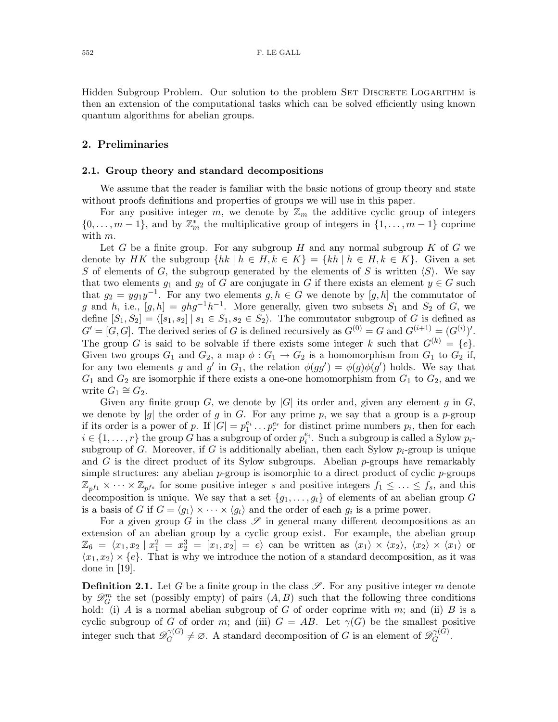Hidden Subgroup Problem. Our solution to the problem SET DISCRETE LOGARITHM is then an extension of the computational tasks which can be solved efficiently using known quantum algorithms for abelian groups.

### 2. Preliminaries

#### 2.1. Group theory and standard decompositions

We assume that the reader is familiar with the basic notions of group theory and state without proofs definitions and properties of groups we will use in this paper.

For any positive integer m, we denote by  $\mathbb{Z}_m$  the additive cyclic group of integers  $\{0,\ldots,m-1\}$ , and by  $\mathbb{Z}_m^*$  the multiplicative group of integers in  $\{1,\ldots,m-1\}$  coprime with m.

Let G be a finite group. For any subgroup H and any normal subgroup K of G we denote by HK the subgroup  $\{hk \mid h \in H, k \in K\} = \{kh \mid h \in H, k \in K\}$ . Given a set S of elements of G, the subgroup generated by the elements of S is written  $\langle S \rangle$ . We say that two elements  $g_1$  and  $g_2$  of G are conjugate in G if there exists an element  $y \in G$  such that  $g_2 = yg_1y^{-1}$ . For any two elements  $g, h \in G$  we denote by  $[g, h]$  the commutator of g and h, i.e.,  $[g,h] = ghg^{-1}h^{-1}$ . More generally, given two subsets  $S_1$  and  $S_2$  of G, we define  $[S_1, S_2] = \langle [s_1, s_2] | s_1 \in S_1, s_2 \in S_2 \rangle$ . The commutator subgroup of G is defined as  $G' = [G, G]$ . The derived series of G is defined recursively as  $G^{(0)} = G$  and  $G^{(i+1)} = (G^{(i)})'$ . The group G is said to be solvable if there exists some integer k such that  $G^{(k)} = \{e\}.$ Given two groups  $G_1$  and  $G_2$ , a map  $\phi: G_1 \to G_2$  is a homomorphism from  $G_1$  to  $G_2$  if, for any two elements g and g' in  $G_1$ , the relation  $\phi(gg') = \phi(g)\phi(g')$  holds. We say that  $G_1$  and  $G_2$  are isomorphic if there exists a one-one homomorphism from  $G_1$  to  $G_2$ , and we write  $G_1 \cong G_2$ .

Given any finite group G, we denote by  $|G|$  its order and, given any element g in G, we denote by  $|g|$  the order of g in G. For any prime p, we say that a group is a p-group if its order is a power of p. If  $|G| = p_1^{e_i} \dots p_r^{e_r}$  for distinct prime numbers  $p_i$ , then for each  $i \in \{1, \ldots, r\}$  the group G has a subgroup of order  $p_i^{e_i}$ . Such a subgroup is called a Sylow  $p_i$ subgroup of G. Moreover, if G is additionally abelian, then each Sylow  $p_i$ -group is unique and G is the direct product of its Sylow subgroups. Abelian p-groups have remarkably simple structures: any abelian  $p$ -group is isomorphic to a direct product of cyclic  $p$ -groups  $\mathbb{Z}_{p^{f_1}} \times \cdots \times \mathbb{Z}_{p^{f_s}}$  for some positive integer s and positive integers  $f_1 \leq \ldots \leq f_s$ , and this decomposition is unique. We say that a set  $\{g_1, \ldots, g_t\}$  of elements of an abelian group G is a basis of G if  $G = \langle g_1 \rangle \times \cdots \times \langle g_t \rangle$  and the order of each  $g_i$  is a prime power.

For a given group G in the class  $\mathscr S$  in general many different decompositions as an extension of an abelian group by a cyclic group exist. For example, the abelian group  $\mathbb{Z}_6 = \langle x_1, x_2 | x_1^2 = x_2^3 = [x_1, x_2] = e \rangle$  can be written as  $\langle x_1 \rangle \times \langle x_2 \rangle, \langle x_2 \rangle \times \langle x_1 \rangle$  or  $\langle x_1, x_2 \rangle \times \{e\}.$  That is why we introduce the notion of a standard decomposition, as it was done in [19].

**Definition 2.1.** Let G be a finite group in the class  $\mathscr{S}$ . For any positive integer m denote by  $\mathscr{D}_G^m$  the set (possibly empty) of pairs  $(A, B)$  such that the following three conditions hold: (i) A is a normal abelian subgroup of G of order coprime with m; and (ii) B is a cyclic subgroup of G of order m; and (iii)  $G = AB$ . Let  $\gamma(G)$  be the smallest positive integer such that  $\mathscr{D}_G^{\gamma(G)}$  $C_G^{(G)} \neq \emptyset$ . A standard decomposition of G is an element of  $\mathscr{D}_G^{\gamma(G)}$  $G^{(\mathcal{F}\setminus\mathbf{G})}.$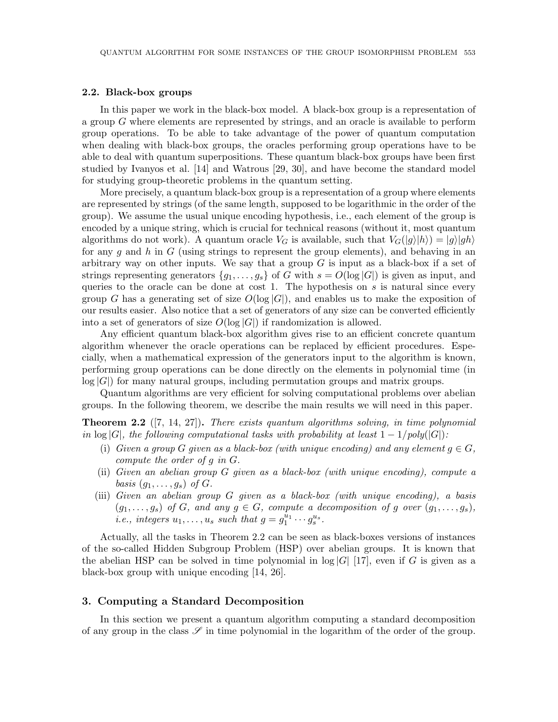#### 2.2. Black-box groups

In this paper we work in the black-box model. A black-box group is a representation of a group G where elements are represented by strings, and an oracle is available to perform group operations. To be able to take advantage of the power of quantum computation when dealing with black-box groups, the oracles performing group operations have to be able to deal with quantum superpositions. These quantum black-box groups have been first studied by Ivanyos et al. [14] and Watrous [29, 30], and have become the standard model for studying group-theoretic problems in the quantum setting.

More precisely, a quantum black-box group is a representation of a group where elements are represented by strings (of the same length, supposed to be logarithmic in the order of the group). We assume the usual unique encoding hypothesis, i.e., each element of the group is encoded by a unique string, which is crucial for technical reasons (without it, most quantum algorithms do not work). A quantum oracle  $V_G$  is available, such that  $V_G(|g\rangle|h\rangle) = |g\rangle|gh\rangle$ for any q and h in G (using strings to represent the group elements), and behaving in an arbitrary way on other inputs. We say that a group  $G$  is input as a black-box if a set of strings representing generators  $\{g_1, \ldots, g_s\}$  of G with  $s = O(\log |G|)$  is given as input, and queries to the oracle can be done at cost 1. The hypothesis on  $s$  is natural since every group G has a generating set of size  $O(\log |G|)$ , and enables us to make the exposition of our results easier. Also notice that a set of generators of any size can be converted efficiently into a set of generators of size  $O(\log |G|)$  if randomization is allowed.

Any efficient quantum black-box algorithm gives rise to an efficient concrete quantum algorithm whenever the oracle operations can be replaced by efficient procedures. Especially, when a mathematical expression of the generators input to the algorithm is known, performing group operations can be done directly on the elements in polynomial time (in  $log |G|$  for many natural groups, including permutation groups and matrix groups.

Quantum algorithms are very efficient for solving computational problems over abelian groups. In the following theorem, we describe the main results we will need in this paper.

Theorem 2.2 ([7, 14, 27]). *There exists quantum algorithms solving, in time polynomial in* log |G|, the following computational tasks with probability at least  $1 - 1/poly(|G|)$ :

- (i) *Given a group G given as a black-box (with unique encoding) and any element*  $q \in G$ , *compute the order of* g *in* G*.*
- (ii) *Given an abelian group* G *given as a black-box (with unique encoding), compute a basis*  $(g_1, \ldots, g_s)$  *of*  $G$ *.*
- (iii) *Given an abelian group* G *given as a black-box (with unique encoding), a basis*  $(g_1, \ldots, g_s)$  *of* G, and any  $g \in G$ *, compute a decomposition of* g *over*  $(g_1, \ldots, g_s)$ *, i.e., integers*  $u_1, \ldots, u_s$  *such that*  $g = g_1^{\bar{u}_1} \cdots g_s^{\bar{u}_s}$ .

Actually, all the tasks in Theorem 2.2 can be seen as black-boxes versions of instances of the so-called Hidden Subgroup Problem (HSP) over abelian groups. It is known that the abelian HSP can be solved in time polynomial in  $log |G|$  [17], even if G is given as a black-box group with unique encoding [14, 26].

#### 3. Computing a Standard Decomposition

In this section we present a quantum algorithm computing a standard decomposition of any group in the class  $\mathscr S$  in time polynomial in the logarithm of the order of the group.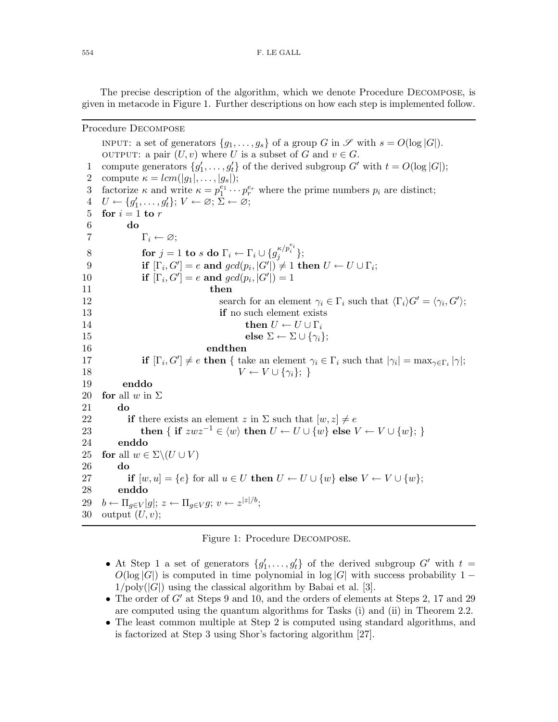The precise description of the algorithm, which we denote Procedure Decompose, is given in metacode in Figure 1. Further descriptions on how each step is implemented follow.

#### Procedure Decompose

INPUT: a set of generators  $\{g_1, \ldots, g_s\}$  of a group G in  $\mathscr S$  with  $s = O(\log |G|)$ . OUTPUT: a pair  $(U, v)$  where U is a subset of G and  $v \in G$ . 1 compute generators  $\{g'_1, \ldots, g'_t\}$  of the derived subgroup G' with  $t = O(\log |G|)$ ; 2 compute  $\kappa = lcm(|g_1|, \ldots, |g_s|);$ 3 factorize  $\kappa$  and write  $\kappa = p_1^{e_1} \cdots p_r^{e_r}$  where the prime numbers  $p_i$  are distinct;  $4 U \leftarrow \{g'_1, \ldots, g'_t\}; V \leftarrow \varnothing; \overline{\Sigma} \leftarrow \overline{\varnothing};$ 5 for  $i = 1$  to r 6 do 7  $\Gamma_i \leftarrow \varnothing;$  $8 \qquad\qquad \textbf{for} \, \, j=1 \, \textbf{to} \, \, s \, \, \textbf{do} \, \, \Gamma_i \leftarrow \Gamma_i \cup \{ g^{\kappa/p_i^{e_i}}_i \};$ 9 if  $[\Gamma_i, G'] = e$  and  $gcd(p_i, |G'|) \neq 1$  then  $U \leftarrow U \cup \Gamma_i$ ; 10 **if**  $[\Gamma_i, G'] = e$  **and**  $gcd(p_i, |G'|) = 1$ 11 then 12 search for an element  $\gamma_i \in \Gamma_i$  such that  $\langle \Gamma_i \rangle G' = \langle \gamma_i, G' \rangle$ ; 13 **if** no such element exists 14 then  $U \leftarrow U \cup \Gamma_i$ 15 else  $\Sigma \leftarrow \Sigma \cup \{\gamma_i\};$ 16 endthen 17 if  $[\Gamma_i, G'] \neq e$  then { take an element  $\gamma_i \in \Gamma_i$  such that  $|\gamma_i| = \max_{\gamma \in \Gamma_i} |\gamma|$ ; 18  $V \leftarrow V \cup \{\gamma_i\};$ 19 enddo 20 **for** all w in  $\Sigma$ 21 do 22 if there exists an element z in  $\Sigma$  such that  $[w, z] \neq e$ 23 then { if  $zwz^{-1} \in \langle w \rangle$  then  $U \leftarrow U \cup \{w\}$  else  $V \leftarrow V \cup \{w\};$ 24 enddo 25 for all  $w \in \Sigma \setminus (U \cup V)$ 26 do 27 if  $[w, u] = \{e\}$  for all  $u \in U$  then  $U \leftarrow U \cup \{w\}$  else  $V \leftarrow V \cup \{w\}$ ; 28 enddo 29  $b \leftarrow \prod_{g \in V} |g|; z \leftarrow \prod_{g \in V} g; v \leftarrow z^{|z|/b};$ 30 output  $(U, v)$ ;

#### Figure 1: Procedure Decompose.

- At Step 1 a set of generators  $\{g'_1, \ldots, g'_t\}$  of the derived subgroup  $G'$  with  $t =$  $O(\log |G|)$  is computed in time polynomial in  $\log |G|$  with success probability 1 −  $1/\text{poly}(|G|)$  using the classical algorithm by Babai et al. [3].
- The order of  $G'$  at Steps 9 and 10, and the orders of elements at Steps 2, 17 and 29 are computed using the quantum algorithms for Tasks (i) and (ii) in Theorem 2.2.
- The least common multiple at Step 2 is computed using standard algorithms, and is factorized at Step 3 using Shor's factoring algorithm [27].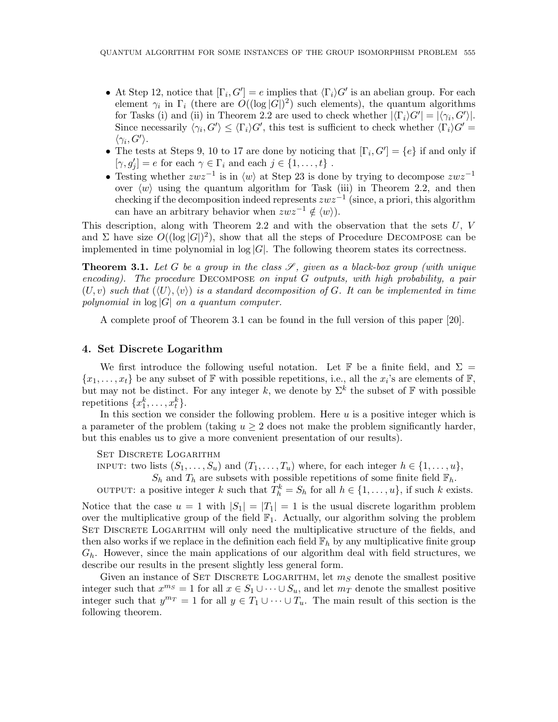- At Step 12, notice that  $[\Gamma_i, G'] = e$  implies that  $\langle \Gamma_i \rangle G'$  is an abelian group. For each element  $\gamma_i$  in  $\Gamma_i$  (there are  $\tilde{O}((\log |G|)^2)$  such elements), the quantum algorithms for Tasks (i) and (ii) in Theorem 2.2 are used to check whether  $|\langle \Gamma_i \rangle G'| = |\langle \gamma_i, G' \rangle|$ . Since necessarily  $\langle \gamma_i, G' \rangle \leq \langle \Gamma_i \rangle G'$ , this test is sufficient to check whether  $\langle \Gamma_i \rangle G' =$  $\langle \gamma_i, G' \rangle$ .
- The tests at Steps 9, 10 to 17 are done by noticing that  $[\Gamma_i, G'] = \{e\}$  if and only if  $[\gamma, g'_j] = e$  for each  $\gamma \in \Gamma_i$  and each  $j \in \{1, ..., t\}$ .
- Testing whether  $zwz^{-1}$  is in  $\langle w \rangle$  at Step 23 is done by trying to decompose  $zwz^{-1}$ over  $\langle w \rangle$  using the quantum algorithm for Task (iii) in Theorem 2.2, and then checking if the decomposition indeed represents  $zwz^{-1}$  (since, a priori, this algorithm can have an arbitrary behavior when  $zwz^{-1} \notin \langle w \rangle$ .

This description, along with Theorem 2.2 and with the observation that the sets  $U, V$ and  $\Sigma$  have size  $O((\log |G|)^2)$ , show that all the steps of Procedure DECOMPOSE can be implemented in time polynomial in  $log |G|$ . The following theorem states its correctness.

**Theorem 3.1.** Let G be a group in the class  $\mathscr{S}$ , given as a black-box group (with unique *encoding). The procedure* Decompose *on input* G *outputs, with high probability, a pair*  $(U, v)$  *such that*  $(\langle U \rangle, \langle v \rangle)$  *is a standard decomposition of G. It can be implemented in time polynomial in* log |G| *on a quantum computer.*

A complete proof of Theorem 3.1 can be found in the full version of this paper [20].

### 4. Set Discrete Logarithm

We first introduce the following useful notation. Let F be a finite field, and  $\Sigma =$  $\{x_1, \ldots, x_t\}$  be any subset of  $\mathbb F$  with possible repetitions, i.e., all the  $x_i$ 's are elements of  $\mathbb F$ , but may not be distinct. For any integer k, we denote by  $\Sigma^k$  the subset of F with possible repetitions  $\{x_1^k, \ldots, x_t^k\}.$ 

In this section we consider the following problem. Here  $u$  is a positive integer which is a parameter of the problem (taking  $u \geq 2$  does not make the problem significantly harder, but this enables us to give a more convenient presentation of our results).

SET DISCRETE LOGARITHM

INPUT: two lists  $(S_1, \ldots, S_u)$  and  $(T_1, \ldots, T_u)$  where, for each integer  $h \in \{1, \ldots, u\}$ ,

 $S_h$  and  $T_h$  are subsets with possible repetitions of some finite field  $\mathbb{F}_h$ .

OUTPUT: a positive integer k such that  $T_h^k = S_h$  for all  $h \in \{1, ..., u\}$ , if such k exists.

Notice that the case  $u = 1$  with  $|S_1| = |T_1| = 1$  is the usual discrete logarithm problem over the multiplicative group of the field  $\mathbb{F}_1$ . Actually, our algorithm solving the problem SET DISCRETE LOGARITHM will only need the multiplicative structure of the fields, and then also works if we replace in the definition each field  $\mathbb{F}_h$  by any multiplicative finite group  $G_h$ . However, since the main applications of our algorithm deal with field structures, we describe our results in the present slightly less general form.

Given an instance of SET DISCRETE LOGARITHM, let  $m<sub>S</sub>$  denote the smallest positive integer such that  $x^{m_S} = 1$  for all  $x \in S_1 \cup \cdots \cup S_u$ , and let  $m_T$  denote the smallest positive integer such that  $y^{m_T} = 1$  for all  $y \in T_1 \cup \cdots \cup T_u$ . The main result of this section is the following theorem.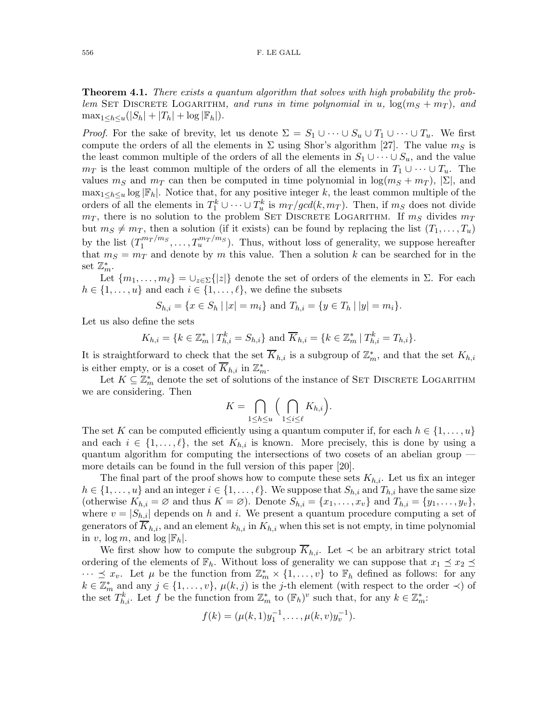Theorem 4.1. *There exists a quantum algorithm that solves with high probability the problem* SET DISCRETE LOGARITHM*, and runs in time polynomial in* u,  $\log(m_S + m_T)$ *, and*  $\max_{1 \leq h \leq u} (|S_h| + |T_h| + \log |\mathbb{F}_h|).$ 

*Proof.* For the sake of brevity, let us denote  $\Sigma = S_1 \cup \cdots \cup S_u \cup T_1 \cup \cdots \cup T_u$ . We first compute the orders of all the elements in  $\Sigma$  using Shor's algorithm [27]. The value  $m<sub>S</sub>$  is the least common multiple of the orders of all the elements in  $S_1 \cup \cdots \cup S_u$ , and the value  $m_T$  is the least common multiple of the orders of all the elements in  $T_1 \cup \cdots \cup T_u$ . The values  $m_S$  and  $m_T$  can then be computed in time polynomial in  $\log(m_S + m_T)$ ,  $|\Sigma|$ , and  $\max_{1 \leq h \leq u} \log |\mathbb{F}_h|$ . Notice that, for any positive integer k, the least common multiple of the orders of all the elements in  $T_1^k \cup \cdots \cup T_u^k$  is  $m_T/gcd(k, m_T)$ . Then, if  $m_S$  does not divide  $m_T$ , there is no solution to the problem SET DISCRETE LOGARITHM. If  $m_S$  divides  $m_T$ but  $m<sub>S</sub> \neq m<sub>T</sub>$ , then a solution (if it exists) can be found by replacing the list  $(T_1, \ldots, T_u)$ by the list  $(T_1^{m_T/m_S})$  $T_1^{m_T/m_S}, \ldots, T_u^{m_T/m_S}$ ). Thus, without loss of generality, we suppose hereafter that  $m_S = m_T$  and denote by m this value. Then a solution k can be searched for in the set  $\mathbb{Z}_m^*$ .

Let  $\{m_1, \ldots, m_\ell\} = \bigcup_{z \in \Sigma} \{|z|\}$  denote the set of orders of the elements in  $\Sigma$ . For each  $h \in \{1, \ldots, u\}$  and each  $i \in \{1, \ldots, \ell\}$ , we define the subsets

$$
S_{h,i} = \{ x \in S_h \mid |x| = m_i \} \text{ and } T_{h,i} = \{ y \in T_h \mid |y| = m_i \}.
$$

Let us also define the sets

$$
K_{h,i} = \{ k \in \mathbb{Z}_m^* \mid T_{h,i}^k = S_{h,i} \} \text{ and } \overline{K}_{h,i} = \{ k \in \mathbb{Z}_m^* \mid T_{h,i}^k = T_{h,i} \}.
$$

It is straightforward to check that the set  $\overline{K}_{h,i}$  is a subgroup of  $\mathbb{Z}_m^*$ , and that the set  $K_{h,i}$ is either empty, or is a coset of  $\overline{K}_{h,i}$  in  $\mathbb{Z}_m^*$ .

Let  $K \subseteq \mathbb{Z}_m^*$  denote the set of solutions of the instance of SET DISCRETE LOGARITHM we are considering. Then

$$
K = \bigcap_{1 \leq h \leq u} \Big( \bigcap_{1 \leq i \leq \ell} K_{h,i} \Big).
$$

The set K can be computed efficiently using a quantum computer if, for each  $h \in \{1, \ldots, u\}$ and each  $i \in \{1, \ldots, \ell\}$ , the set  $K_{h,i}$  is known. More precisely, this is done by using a quantum algorithm for computing the intersections of two cosets of an abelian group more details can be found in the full version of this paper [20].

The final part of the proof shows how to compute these sets  $K_{h,i}$ . Let us fix an integer  $h \in \{1, \ldots, u\}$  and an integer  $i \in \{1, \ldots, \ell\}$ . We suppose that  $S_{h,i}$  and  $T_{h,i}$  have the same size (otherwise  $K_{h,i} = \emptyset$  and thus  $K = \emptyset$ ). Denote  $S_{h,i} = \{x_1, \ldots, x_v\}$  and  $T_{h,i} = \{y_1, \ldots, y_v\}$ , where  $v = |S_{h,i}|$  depends on h and i. We present a quantum procedure computing a set of generators of  $\overline{K}_{h,i}$ , and an element  $k_{h,i}$  in  $K_{h,i}$  when this set is not empty, in time polynomial in v,  $\log m$ , and  $\log |\mathbb{F}_h|$ .

We first show how to compute the subgroup  $\overline{K}_{h,i}$ . Let  $\prec$  be an arbitrary strict total ordering of the elements of  $\mathbb{F}_h$ . Without loss of generality we can suppose that  $x_1 \preceq x_2 \preceq$  $\cdots \preceq x_v$ . Let  $\mu$  be the function from  $\mathbb{Z}_m^* \times \{1, \ldots, v\}$  to  $\mathbb{F}_h$  defined as follows: for any  $k \in \mathbb{Z}_m^*$  and any  $j \in \{1, \ldots, v\}$ ,  $\mu(k, j)$  is the j-th element (with respect to the order  $\prec$ ) of the set  $T_{h,i}^k$ . Let f be the function from  $\mathbb{Z}_m^*$  to  $(\mathbb{F}_h)^v$  such that, for any  $k \in \mathbb{Z}_m^*$ :

$$
f(k) = (\mu(k, 1)y_1^{-1}, \dots, \mu(k, v)y_v^{-1}).
$$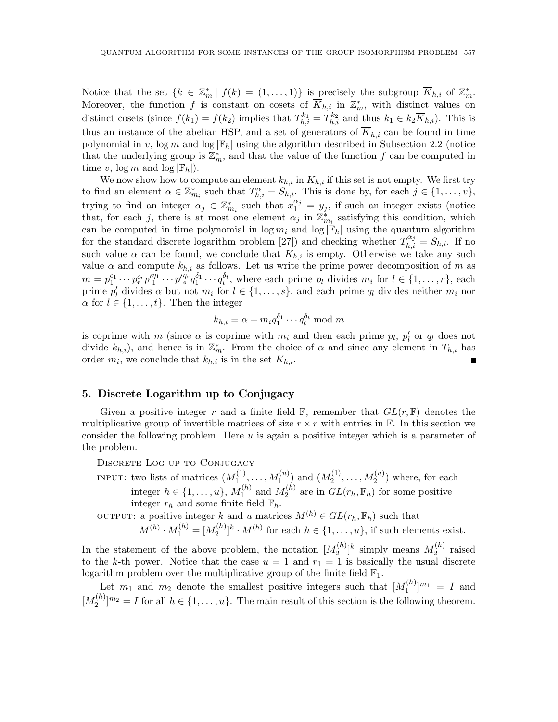Notice that the set  $\{k \in \mathbb{Z}_m^* \mid f(k) = (1,\ldots,1)\}\$ is precisely the subgroup  $\overline{K}_{h,i}$  of  $\mathbb{Z}_m^*$ . Moreover, the function f is constant on cosets of  $\overline{K}_{h,i}$  in  $\mathbb{Z}_m^*$ , with distinct values on distinct cosets (since  $f(k_1) = f(k_2)$  implies that  $T_{h,i}^{k_1} = T_{h,i}^{k_2}$  and thus  $k_1 \in k_2 \overline{K}_{h,i}$ ). This is thus an instance of the abelian HSP, and a set of generators of  $\overline{K}_{h,i}$  can be found in time polynomial in v,  $\log m$  and  $\log |\mathbb{F}_h|$  using the algorithm described in Subsection 2.2 (notice that the underlying group is  $\mathbb{Z}_m^*$ , and that the value of the function f can be computed in time v,  $\log m$  and  $\log |\mathbb{F}_h|$ .

We now show how to compute an element  $k_{h,i}$  in  $K_{h,i}$  if this set is not empty. We first try to find an element  $\alpha \in \mathbb{Z}_{m_i}^*$  such that  $T_{h,i}^{\alpha} = S_{h,i}$ . This is done by, for each  $j \in \{1, \ldots, v\}$ , trying to find an integer  $\alpha_j \in \mathbb{Z}_{m_i}^*$  such that  $x_1^{\alpha_j} = y_j$ , if such an integer exists (notice that, for each j, there is at most one element  $\alpha_j$  in  $\mathbb{Z}_{m_i}^*$  satisfying this condition, which can be computed in time polynomial in  $\log m_i$  and  $\log |\mathbb{F}_h|$  using the quantum algorithm for the standard discrete logarithm problem [27]) and checking whether  $T_{h,i}^{\alpha_j} = S_{h,i}$ . If no such value  $\alpha$  can be found, we conclude that  $K_{h,i}$  is empty. Otherwise we take any such value  $\alpha$  and compute  $k_{h,i}$  as follows. Let us write the prime power decomposition of m as  $m = p_1^{\epsilon_1} \cdots p_r^{\epsilon_r} p_1^{\prime \eta_1} \cdots p_s^{\prime \eta_s} q_1^{\delta_1} \cdots q_t^{\delta_t}$ , where each prime  $p_l$  divides  $m_i$  for  $l \in \{1, \ldots, r\}$ , each prime  $p'_l$  divides  $\alpha$  but not  $m_i$  for  $l \in \{1, \ldots, s\}$ , and each prime  $q_l$  divides neither  $m_i$  nor  $\alpha$  for  $l \in \{1, \ldots, t\}$ . Then the integer

$$
k_{h,i} = \alpha + m_i q_1^{\delta_1} \cdots q_t^{\delta_t} \bmod m
$$

is coprime with  $m$  (since  $\alpha$  is coprime with  $m_i$  and then each prime  $p_l$ ,  $p'_l$  or  $q_l$  does not divide  $k_{h,i}$ , and hence is in  $\mathbb{Z}_m^*$ . From the choice of  $\alpha$  and since any element in  $T_{h,i}$  has order  $m_i$ , we conclude that  $k_{h,i}$  is in the set  $K_{h,i}$ .

#### 5. Discrete Logarithm up to Conjugacy

Given a positive integer r and a finite field  $\mathbb{F}$ , remember that  $GL(r, \mathbb{F})$  denotes the multiplicative group of invertible matrices of size  $r \times r$  with entries in F. In this section we consider the following problem. Here  $u$  is again a positive integer which is a parameter of the problem.

DISCRETE LOG UP TO CONJUGACY

INPUT: two lists of matrices  $(M_1^{(1)})$  $\binom{1}{1}, \ldots, M_1^{(u)}$  and  $\binom{M_2^{(1)}}{1}$  $\mathcal{M}_2^{(1)}, \ldots, \mathcal{M}_2^{(u)}$  where, for each integer  $h \in \{1, ..., u\}, M_1^{(h)}$  $_1^{(h)}$  and  $M_2^{(h)}$  $2^{(h)}$  are in  $GL(r_h, \mathbb{F}_h)$  for some positive integer  $r_h$  and some finite field  $\mathbb{F}_h$ .

OUTPUT: a positive integer k and u matrices  $M^{(h)} \in GL(r_h, \mathbb{F}_h)$  such that

$$
M^{(h)} \cdot M_1^{(h)} = [M_2^{(h)}]^k \cdot M^{(h)}
$$
 for each  $h \in \{1, \ldots, u\}$ , if such elements exist.

In the statement of the above problem, the notation  $[M_2^{(h)}]$  $\binom{n}{2}$ <sup>k</sup> simply means  $M_2^{(h)}$  $2^{(n)}$  raised to the k-th power. Notice that the case  $u = 1$  and  $r_1 = 1$  is basically the usual discrete logarithm problem over the multiplicative group of the finite field  $\mathbb{F}_1.$ 

Let  $m_1$  and  $m_2$  denote the smallest positive integers such that  $[M_1^{(h)}]$  $\binom{n}{1}^{m_1} = I$  and  $[M_2^{(h)}]$  $\binom{n}{2}$  $\lfloor m_2 \rfloor$  for all  $h \in \{1, \ldots, u\}$ . The main result of this section is the following theorem.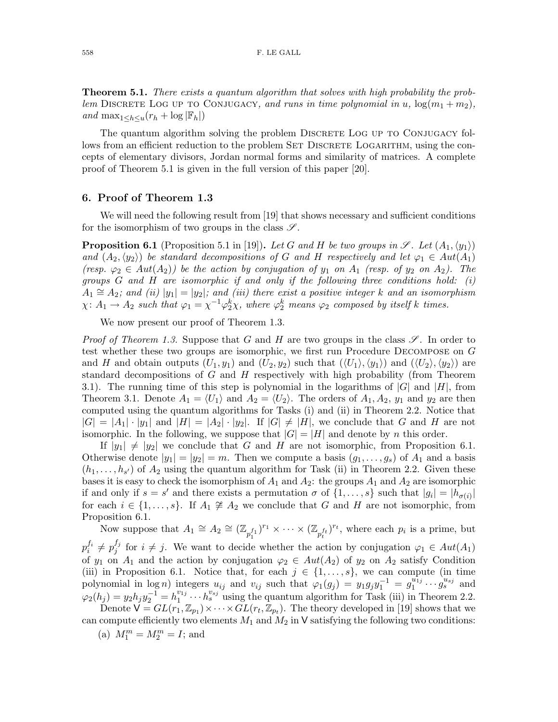Theorem 5.1. *There exists a quantum algorithm that solves with high probability the problem* DISCRETE LOG UP TO CONJUGACY, and runs in time polynomial in u,  $\log(m_1 + m_2)$ , *and* max<sub>1</sub>< $h \lt u(r_h + \log |\mathbb{F}_h|)$ 

The quantum algorithm solving the problem DISCRETE LOG UP TO CONJUGACY follows from an efficient reduction to the problem SET DISCRETE LOGARITHM, using the concepts of elementary divisors, Jordan normal forms and similarity of matrices. A complete proof of Theorem 5.1 is given in the full version of this paper [20].

#### 6. Proof of Theorem 1.3

We will need the following result from [19] that shows necessary and sufficient conditions for the isomorphism of two groups in the class  $\mathscr{S}$ .

**Proposition 6.1** (Proposition 5.1 in [19]). Let G and H be two groups in  $\mathscr{S}$ . Let  $(A_1,\langle y_1\rangle)$ *and*  $(A_2, \langle y_2 \rangle)$  *be standard decompositions of* G *and* H *respectively and let*  $\varphi_1 \in Aut(A_1)$ *(resp.*  $\varphi_2 \in Aut(A_2)$ *) be the action by conjugation of*  $y_1$  *on*  $A_1$  *(resp. of*  $y_2$  *on*  $A_2$ *). The groups* G *and* H *are isomorphic if and only if the following three conditions hold: (i)*  $A_1 \cong A_2$ ; and (ii)  $|y_1| = |y_2|$ ; and (iii) there exist a positive integer k and an isomorphism  $\chi: A_1 \to A_2$  such that  $\varphi_1 = \chi^{-1} \varphi_2^k \chi$ , where  $\varphi_2^k$  means  $\varphi_2$  composed by itself k times.

We now present our proof of Theorem 1.3.

*Proof of Theorem 1.3.* Suppose that G and H are two groups in the class  $\mathscr{S}$ . In order to test whether these two groups are isomorphic, we first run Procedure Decompose on G and H and obtain outputs  $(U_1, y_1)$  and  $(U_2, y_2)$  such that  $(\langle U_1 \rangle, \langle y_1 \rangle)$  and  $(\langle U_2 \rangle, \langle y_2 \rangle)$  are standard decompositions of  $G$  and  $H$  respectively with high probability (from Theorem 3.1). The running time of this step is polynomial in the logarithms of  $|G|$  and  $|H|$ , from Theorem 3.1. Denote  $A_1 = \langle U_1 \rangle$  and  $A_2 = \langle U_2 \rangle$ . The orders of  $A_1, A_2, y_1$  and  $y_2$  are then computed using the quantum algorithms for Tasks (i) and (ii) in Theorem 2.2. Notice that  $|G| = |A_1| \cdot |y_1|$  and  $|H| = |A_2| \cdot |y_2|$ . If  $|G| \neq |H|$ , we conclude that G and H are not isomorphic. In the following, we suppose that  $|G| = |H|$  and denote by n this order.

If  $|y_1| \neq |y_2|$  we conclude that G and H are not isomorphic, from Proposition 6.1. Otherwise denote  $|y_1| = |y_2| = m$ . Then we compute a basis  $(g_1, \ldots, g_s)$  of  $A_1$  and a basis  $(h_1, \ldots, h_{s'})$  of  $A_2$  using the quantum algorithm for Task (ii) in Theorem 2.2. Given these bases it is easy to check the isomorphism of  $A_1$  and  $A_2$ : the groups  $A_1$  and  $A_2$  are isomorphic if and only if  $s = s'$  and there exists a permutation  $\sigma$  of  $\{1, \ldots, s\}$  such that  $|g_i| = |h_{\sigma(i)}|$ for each  $i \in \{1, \ldots, s\}$ . If  $A_1 \not\cong A_2$  we conclude that G and H are not isomorphic, from Proposition 6.1.

Now suppose that  $A_1 \cong A_2 \cong (\mathbb{Z}_{p_1^{f_1}})^{r_1} \times \cdots \times (\mathbb{Z}_{p_t^{f_t}})^{r_t}$ , where each  $p_i$  is a prime, but  $p_i^{f_i} \neq p_j^{f_j}$  $j_j^{j_j}$  for  $i \neq j$ . We want to decide whether the action by conjugation  $\varphi_1 \in Aut(A_1)$ of  $y_1$  on  $A_1$  and the action by conjugation  $\varphi_2 \in Aut(A_2)$  of  $y_2$  on  $A_2$  satisfy Condition (iii) in Proposition 6.1. Notice that, for each  $j \in \{1, \ldots, s\}$ , we can compute (in time polynomial in log n) integers  $u_{ij}$  and  $v_{ij}$  such that  $\varphi_1(g_j) = y_1 g_j y_1^{-1} = g_1^{u_{1j}}$  $j_1^{u_{1j}} \cdots \hat{j_s}^{u_{sj}}$  and  $\varphi_2(h_j) = y_2h_jy_2^{-1} = h_1^{v_{1j}}$  $v_{1j}^{v_{1j}} \cdots h_s^{v_{sj}}$  using the quantum algorithm for Task (iii) in Theorem 2.2.

Denote  $\mathsf{V} = GL(r_1, \mathbb{Z}_{p_1}) \times \cdots \times GL(r_t, \mathbb{Z}_{p_t})$ . The theory developed in [19] shows that we can compute efficiently two elements  $M_1$  and  $M_2$  in V satisfying the following two conditions:

(a)  $M_1^m = M_2^m = I$ ; and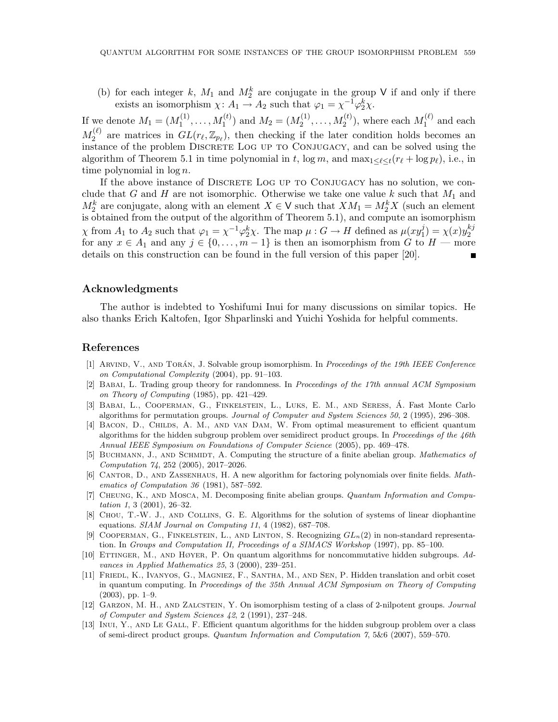(b) for each integer k,  $M_1$  and  $M_2^k$  are conjugate in the group V if and only if there exists an isomorphism  $\chi: A_1 \to A_2$  such that  $\varphi_1 = \chi^{-1} \varphi_2^k \chi$ .

If we denote  $M_1 = (M_1^{(1)}$  $M_1^{(1)}, \ldots, M_1^{(t)}$  and  $M_2 = (M_2^{(1)})$  $M_2^{(1)}, \ldots, M_2^{(t)}$ ), where each  $M_1^{(\ell)}$  $1^{(\ell)}$  and each  $M_2^{(\ell)}$  $\mathcal{L}^{(\ell)}_2$  are matrices in  $GL(r_\ell,\mathbb{Z}_{p_\ell})$ , then checking if the later condition holds becomes an instance of the problem DISCRETE LOG UP TO CONJUGACY, and can be solved using the algorithm of Theorem 5.1 in time polynomial in t,  $\log m$ , and  $\max_{1 \leq \ell \leq t} (r_{\ell} + \log p_{\ell})$ , i.e., in time polynomial in  $\log n$ .

If the above instance of DISCRETE LOG UP TO CONJUGACY has no solution, we conclude that G and H are not isomorphic. Otherwise we take one value k such that  $M_1$  and  $M_2^k$  are conjugate, along with an element  $X \in V$  such that  $XM_1 = M_2^k X$  (such an element is obtained from the output of the algorithm of Theorem 5.1), and compute an isomorphism  $\chi$  from  $A_1$  to  $A_2$  such that  $\varphi_1 = \chi^{-1} \varphi_2^k \chi$ . The map  $\mu : G \to H$  defined as  $\mu(xy_1^j)$  $y_1^j$  =  $\chi(x)y_2^{kj}$ 2 for any  $x \in A_1$  and any  $j \in \{0, \ldots, m-1\}$  is then an isomorphism from G to  $H$  — more details on this construction can be found in the full version of this paper [20].

#### Acknowledgments

The author is indebted to Yoshifumi Inui for many discussions on similar topics. He also thanks Erich Kaltofen, Igor Shparlinski and Yuichi Yoshida for helpful comments.

#### References

- [1] ARVIND, V., AND TORÁN, J. Solvable group isomorphism. In Proceedings of the 19th IEEE Conference on Computational Complexity (2004), pp. 91–103.
- [2] Babai, L. Trading group theory for randomness. In Proceedings of the 17th annual ACM Symposium on Theory of Computing (1985), pp. 421–429.
- [3] BABAI, L., COOPERMAN, G., FINKELSTEIN, L., LUKS, E. M., AND SERESS, Á. Fast Monte Carlo algorithms for permutation groups. Journal of Computer and System Sciences 50, 2 (1995), 296–308.
- [4] Bacon, D., Childs, A. M., and van Dam, W. From optimal measurement to efficient quantum algorithms for the hidden subgroup problem over semidirect product groups. In Proceedings of the 46th Annual IEEE Symposium on Foundations of Computer Science (2005), pp. 469–478.
- [5] BUCHMANN, J., AND SCHMIDT, A. Computing the structure of a finite abelian group. Mathematics of Computation 74, 252 (2005), 2017–2026.
- [6] CANTOR, D., AND ZASSENHAUS, H. A new algorithm for factoring polynomials over finite fields. Mathematics of Computation 36 (1981), 587–592.
- [7] Cheung, K., and Mosca, M. Decomposing finite abelian groups. Quantum Information and Computation 1, 3 (2001), 26–32.
- [8] Chou, T.-W. J., and Collins, G. E. Algorithms for the solution of systems of linear diophantine equations. SIAM Journal on Computing 11, 4 (1982), 687–708.
- [9] COOPERMAN, G., FINKELSTEIN, L., AND LINTON, S. Recognizing  $GL_n(2)$  in non-standard representation. In Groups and Computation II, Proceedings of a SIMACS Workshop (1997), pp. 85–100.
- [10] Ettinger, M., and Høyer, P. On quantum algorithms for noncommutative hidden subgroups. Advances in Applied Mathematics 25, 3 (2000), 239–251.
- [11] Friedl, K., Ivanyos, G., Magniez, F., Santha, M., and Sen, P. Hidden translation and orbit coset in quantum computing. In Proceedings of the 35th Annual ACM Symposium on Theory of Computing (2003), pp. 1–9.
- [12] GARZON, M. H., AND ZALCSTEIN, Y. On isomorphism testing of a class of 2-nilpotent groups. Journal of Computer and System Sciences 42, 2 (1991), 237–248.
- [13] Inui, Y., and Le Gall, F. Efficient quantum algorithms for the hidden subgroup problem over a class of semi-direct product groups. Quantum Information and Computation 7, 5&6 (2007), 559–570.